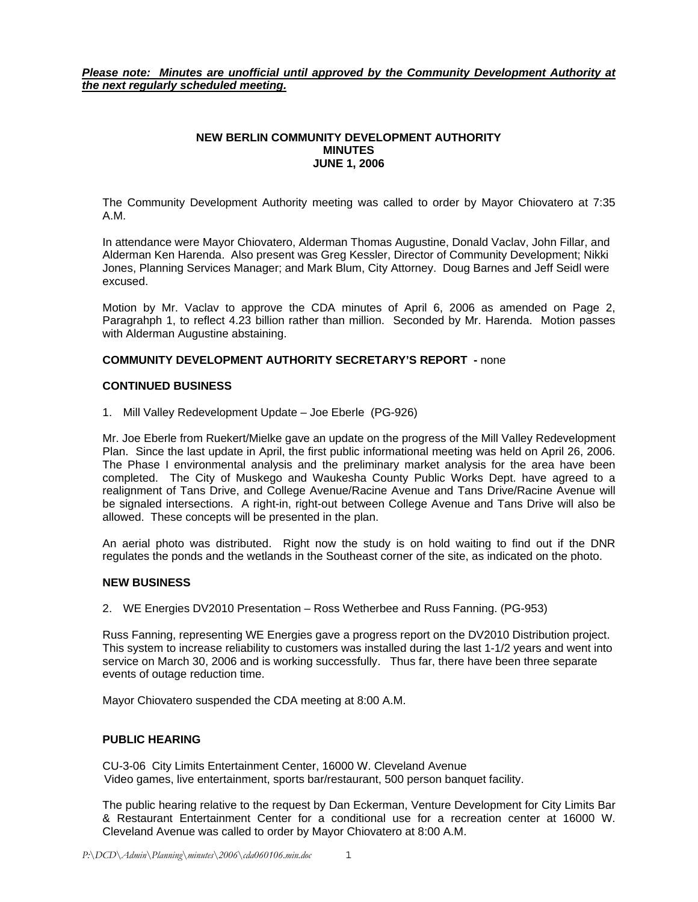*Please note: Minutes are unofficial until approved by the Community Development Authority at the next regularly scheduled meeting.*

#### **NEW BERLIN COMMUNITY DEVELOPMENT AUTHORITY MINUTES JUNE 1, 2006**

The Community Development Authority meeting was called to order by Mayor Chiovatero at 7:35 A.M.

In attendance were Mayor Chiovatero, Alderman Thomas Augustine, Donald Vaclav, John Fillar, and Alderman Ken Harenda. Also present was Greg Kessler, Director of Community Development; Nikki Jones, Planning Services Manager; and Mark Blum, City Attorney. Doug Barnes and Jeff Seidl were excused.

Motion by Mr. Vaclav to approve the CDA minutes of April 6, 2006 as amended on Page 2, Paragrahph 1, to reflect 4.23 billion rather than million. Seconded by Mr. Harenda. Motion passes with Alderman Augustine abstaining.

## **COMMUNITY DEVELOPMENT AUTHORITY SECRETARY'S REPORT -** none

#### **CONTINUED BUSINESS**

1. Mill Valley Redevelopment Update – Joe Eberle (PG-926)

Mr. Joe Eberle from Ruekert/Mielke gave an update on the progress of the Mill Valley Redevelopment Plan. Since the last update in April, the first public informational meeting was held on April 26, 2006. The Phase I environmental analysis and the preliminary market analysis for the area have been completed. The City of Muskego and Waukesha County Public Works Dept. have agreed to a realignment of Tans Drive, and College Avenue/Racine Avenue and Tans Drive/Racine Avenue will be signaled intersections. A right-in, right-out between College Avenue and Tans Drive will also be allowed. These concepts will be presented in the plan.

An aerial photo was distributed. Right now the study is on hold waiting to find out if the DNR regulates the ponds and the wetlands in the Southeast corner of the site, as indicated on the photo.

#### **NEW BUSINESS**

2. WE Energies DV2010 Presentation – Ross Wetherbee and Russ Fanning. (PG-953)

Russ Fanning, representing WE Energies gave a progress report on the DV2010 Distribution project. This system to increase reliability to customers was installed during the last 1-1/2 years and went into service on March 30, 2006 and is working successfully. Thus far, there have been three separate events of outage reduction time.

Mayor Chiovatero suspended the CDA meeting at 8:00 A.M.

### **PUBLIC HEARING**

CU-3-06 City Limits Entertainment Center, 16000 W. Cleveland Avenue Video games, live entertainment, sports bar/restaurant, 500 person banquet facility.

The public hearing relative to the request by Dan Eckerman, Venture Development for City Limits Bar & Restaurant Entertainment Center for a conditional use for a recreation center at 16000 W. Cleveland Avenue was called to order by Mayor Chiovatero at 8:00 A.M.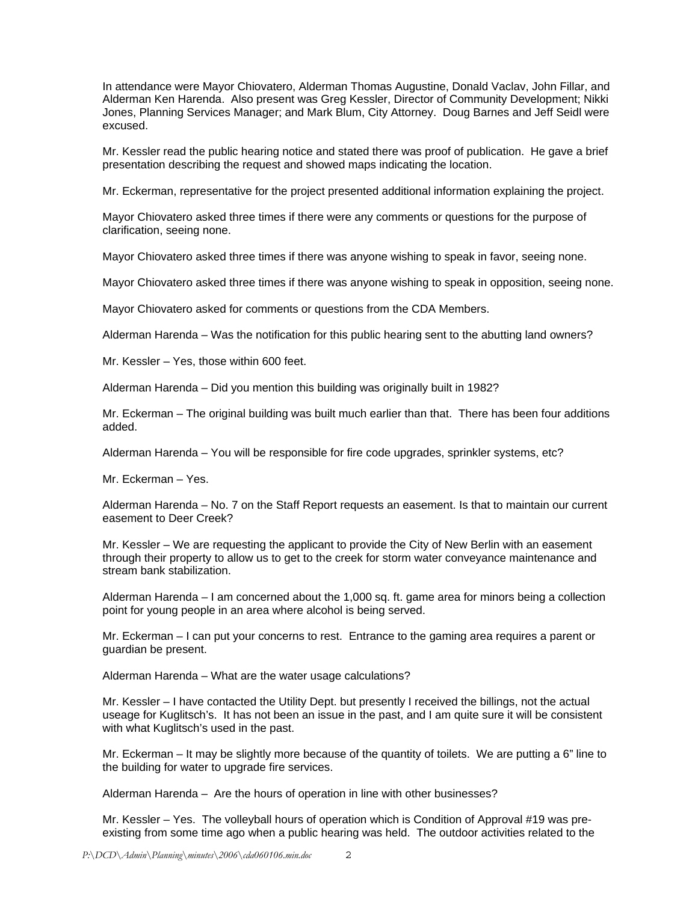In attendance were Mayor Chiovatero, Alderman Thomas Augustine, Donald Vaclav, John Fillar, and Alderman Ken Harenda. Also present was Greg Kessler, Director of Community Development; Nikki Jones, Planning Services Manager; and Mark Blum, City Attorney. Doug Barnes and Jeff Seidl were excused.

Mr. Kessler read the public hearing notice and stated there was proof of publication. He gave a brief presentation describing the request and showed maps indicating the location.

Mr. Eckerman, representative for the project presented additional information explaining the project.

Mayor Chiovatero asked three times if there were any comments or questions for the purpose of clarification, seeing none.

Mayor Chiovatero asked three times if there was anyone wishing to speak in favor, seeing none.

Mayor Chiovatero asked three times if there was anyone wishing to speak in opposition, seeing none.

Mayor Chiovatero asked for comments or questions from the CDA Members.

Alderman Harenda – Was the notification for this public hearing sent to the abutting land owners?

Mr. Kessler – Yes, those within 600 feet.

Alderman Harenda – Did you mention this building was originally built in 1982?

Mr. Eckerman – The original building was built much earlier than that. There has been four additions added.

Alderman Harenda – You will be responsible for fire code upgrades, sprinkler systems, etc?

Mr. Eckerman – Yes.

Alderman Harenda – No. 7 on the Staff Report requests an easement. Is that to maintain our current easement to Deer Creek?

Mr. Kessler – We are requesting the applicant to provide the City of New Berlin with an easement through their property to allow us to get to the creek for storm water conveyance maintenance and stream bank stabilization.

Alderman Harenda – I am concerned about the 1,000 sq. ft. game area for minors being a collection point for young people in an area where alcohol is being served.

Mr. Eckerman – I can put your concerns to rest. Entrance to the gaming area requires a parent or guardian be present.

Alderman Harenda – What are the water usage calculations?

Mr. Kessler – I have contacted the Utility Dept. but presently I received the billings, not the actual useage for Kuglitsch's. It has not been an issue in the past, and I am quite sure it will be consistent with what Kuglitsch's used in the past.

Mr. Eckerman – It may be slightly more because of the quantity of toilets. We are putting a 6" line to the building for water to upgrade fire services.

Alderman Harenda – Are the hours of operation in line with other businesses?

Mr. Kessler – Yes. The volleyball hours of operation which is Condition of Approval #19 was preexisting from some time ago when a public hearing was held. The outdoor activities related to the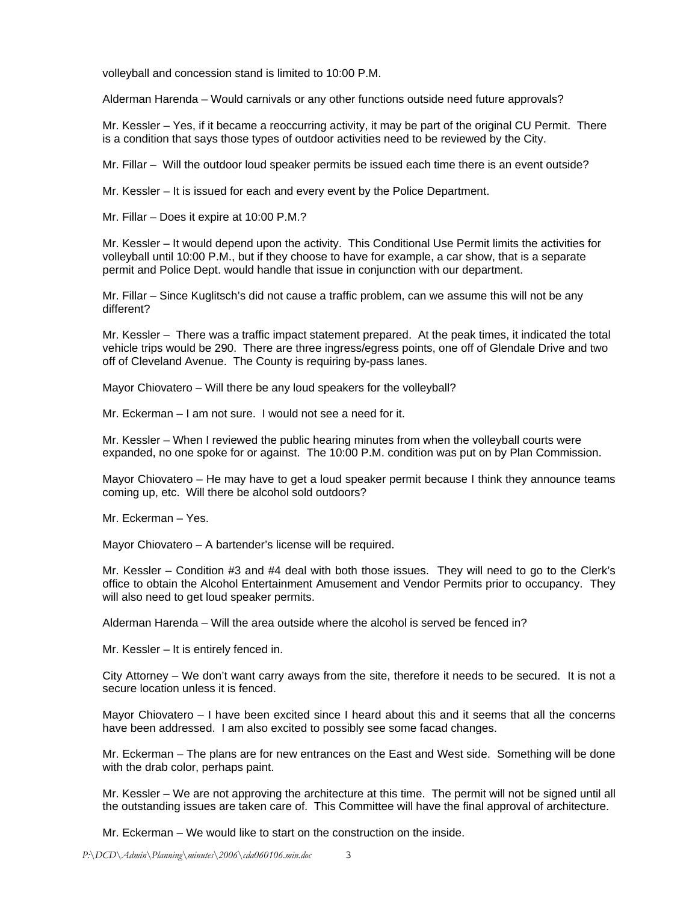volleyball and concession stand is limited to 10:00 P.M.

Alderman Harenda – Would carnivals or any other functions outside need future approvals?

Mr. Kessler – Yes, if it became a reoccurring activity, it may be part of the original CU Permit. There is a condition that says those types of outdoor activities need to be reviewed by the City.

Mr. Fillar – Will the outdoor loud speaker permits be issued each time there is an event outside?

Mr. Kessler – It is issued for each and every event by the Police Department.

Mr. Fillar – Does it expire at 10:00 P.M.?

Mr. Kessler – It would depend upon the activity. This Conditional Use Permit limits the activities for volleyball until 10:00 P.M., but if they choose to have for example, a car show, that is a separate permit and Police Dept. would handle that issue in conjunction with our department.

Mr. Fillar – Since Kuglitsch's did not cause a traffic problem, can we assume this will not be any different?

Mr. Kessler – There was a traffic impact statement prepared. At the peak times, it indicated the total vehicle trips would be 290. There are three ingress/egress points, one off of Glendale Drive and two off of Cleveland Avenue. The County is requiring by-pass lanes.

Mayor Chiovatero – Will there be any loud speakers for the volleyball?

Mr. Eckerman – I am not sure. I would not see a need for it.

Mr. Kessler – When I reviewed the public hearing minutes from when the volleyball courts were expanded, no one spoke for or against. The 10:00 P.M. condition was put on by Plan Commission.

Mayor Chiovatero – He may have to get a loud speaker permit because I think they announce teams coming up, etc. Will there be alcohol sold outdoors?

Mr. Eckerman – Yes.

Mayor Chiovatero – A bartender's license will be required.

Mr. Kessler – Condition #3 and #4 deal with both those issues. They will need to go to the Clerk's office to obtain the Alcohol Entertainment Amusement and Vendor Permits prior to occupancy. They will also need to get loud speaker permits.

Alderman Harenda – Will the area outside where the alcohol is served be fenced in?

Mr. Kessler – It is entirely fenced in.

City Attorney – We don't want carry aways from the site, therefore it needs to be secured. It is not a secure location unless it is fenced.

Mayor Chiovatero – I have been excited since I heard about this and it seems that all the concerns have been addressed. I am also excited to possibly see some facad changes.

Mr. Eckerman – The plans are for new entrances on the East and West side. Something will be done with the drab color, perhaps paint.

Mr. Kessler – We are not approving the architecture at this time. The permit will not be signed until all the outstanding issues are taken care of. This Committee will have the final approval of architecture.

Mr. Eckerman – We would like to start on the construction on the inside.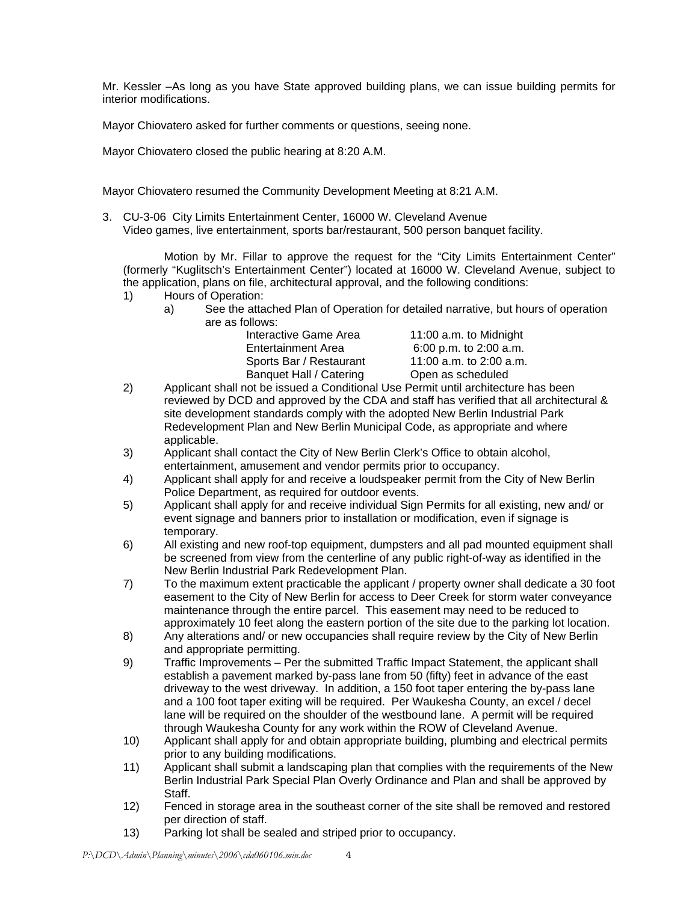Mr. Kessler –As long as you have State approved building plans, we can issue building permits for interior modifications.

Mayor Chiovatero asked for further comments or questions, seeing none.

Mayor Chiovatero closed the public hearing at 8:20 A.M.

Mayor Chiovatero resumed the Community Development Meeting at 8:21 A.M.

3. CU-3-06 City Limits Entertainment Center, 16000 W. Cleveland Avenue Video games, live entertainment, sports bar/restaurant, 500 person banquet facility.

 Motion by Mr. Fillar to approve the request for the "City Limits Entertainment Center" (formerly "Kuglitsch's Entertainment Center") located at 16000 W. Cleveland Avenue, subject to the application, plans on file, architectural approval, and the following conditions:

- 1) Hours of Operation:
	- a) See the attached Plan of Operation for detailed narrative, but hours of operation are as follows:

| Interactive Game Area   |
|-------------------------|
| Entertainment Area      |
| Sports Bar / Restaurant |
| Banquet Hall / Catering |
|                         |

11:00 a.m. to Midnight  $6:00$  p.m. to 2:00 a.m. 11:00 a.m. to 2:00 a.m. Open as scheduled

- 2) Applicant shall not be issued a Conditional Use Permit until architecture has been reviewed by DCD and approved by the CDA and staff has verified that all architectural & site development standards comply with the adopted New Berlin Industrial Park Redevelopment Plan and New Berlin Municipal Code, as appropriate and where applicable.
- 3) Applicant shall contact the City of New Berlin Clerk's Office to obtain alcohol, entertainment, amusement and vendor permits prior to occupancy.
- 4) Applicant shall apply for and receive a loudspeaker permit from the City of New Berlin Police Department, as required for outdoor events.
- 5) Applicant shall apply for and receive individual Sign Permits for all existing, new and/ or event signage and banners prior to installation or modification, even if signage is temporary.
- 6) All existing and new roof-top equipment, dumpsters and all pad mounted equipment shall be screened from view from the centerline of any public right-of-way as identified in the New Berlin Industrial Park Redevelopment Plan.
- 7) To the maximum extent practicable the applicant / property owner shall dedicate a 30 foot easement to the City of New Berlin for access to Deer Creek for storm water conveyance maintenance through the entire parcel. This easement may need to be reduced to approximately 10 feet along the eastern portion of the site due to the parking lot location.
- 8) Any alterations and/ or new occupancies shall require review by the City of New Berlin and appropriate permitting.
- 9) Traffic Improvements Per the submitted Traffic Impact Statement, the applicant shall establish a pavement marked by-pass lane from 50 (fifty) feet in advance of the east driveway to the west driveway. In addition, a 150 foot taper entering the by-pass lane and a 100 foot taper exiting will be required. Per Waukesha County, an excel / decel lane will be required on the shoulder of the westbound lane. A permit will be required through Waukesha County for any work within the ROW of Cleveland Avenue.
- 10) Applicant shall apply for and obtain appropriate building, plumbing and electrical permits prior to any building modifications.
- 11) Applicant shall submit a landscaping plan that complies with the requirements of the New Berlin Industrial Park Special Plan Overly Ordinance and Plan and shall be approved by Staff.
- 12) Fenced in storage area in the southeast corner of the site shall be removed and restored per direction of staff.
- 13) Parking lot shall be sealed and striped prior to occupancy.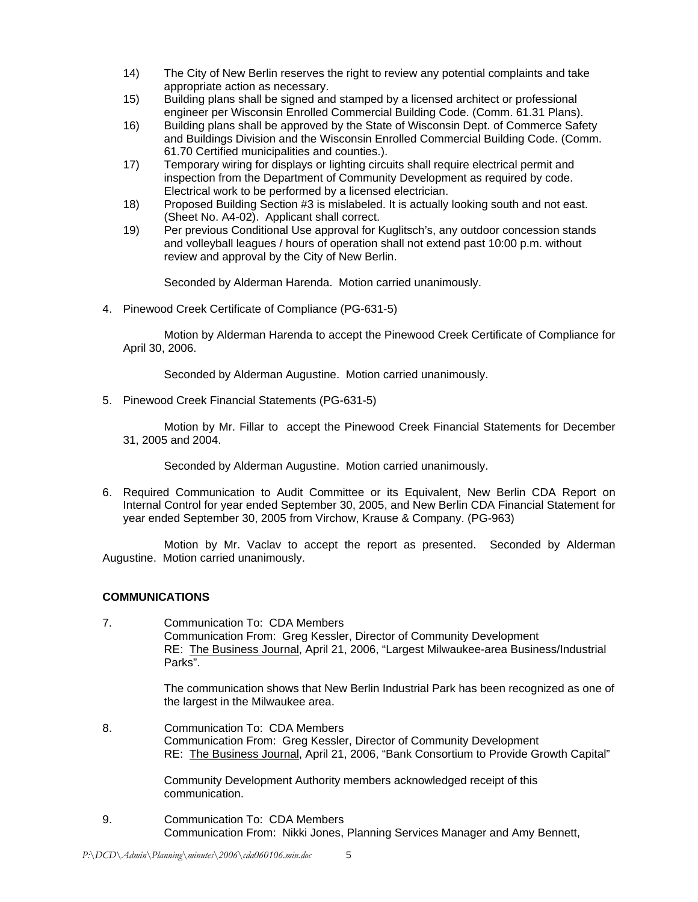- 14) The City of New Berlin reserves the right to review any potential complaints and take appropriate action as necessary.
- 15) Building plans shall be signed and stamped by a licensed architect or professional engineer per Wisconsin Enrolled Commercial Building Code. (Comm. 61.31 Plans).
- 16) Building plans shall be approved by the State of Wisconsin Dept. of Commerce Safety and Buildings Division and the Wisconsin Enrolled Commercial Building Code. (Comm. 61.70 Certified municipalities and counties.).
- 17) Temporary wiring for displays or lighting circuits shall require electrical permit and inspection from the Department of Community Development as required by code. Electrical work to be performed by a licensed electrician.
- 18) Proposed Building Section #3 is mislabeled. It is actually looking south and not east. (Sheet No. A4-02). Applicant shall correct.
- 19) Per previous Conditional Use approval for Kuglitsch's, any outdoor concession stands and volleyball leagues / hours of operation shall not extend past 10:00 p.m. without review and approval by the City of New Berlin.

Seconded by Alderman Harenda. Motion carried unanimously.

4. Pinewood Creek Certificate of Compliance (PG-631-5)

 Motion by Alderman Harenda to accept the Pinewood Creek Certificate of Compliance for April 30, 2006.

Seconded by Alderman Augustine. Motion carried unanimously.

5. Pinewood Creek Financial Statements (PG-631-5)

 Motion by Mr. Fillar to accept the Pinewood Creek Financial Statements for December 31, 2005 and 2004.

Seconded by Alderman Augustine. Motion carried unanimously.

6. Required Communication to Audit Committee or its Equivalent, New Berlin CDA Report on Internal Control for year ended September 30, 2005, and New Berlin CDA Financial Statement for year ended September 30, 2005 from Virchow, Krause & Company. (PG-963)

 Motion by Mr. Vaclav to accept the report as presented. Seconded by Alderman Augustine. Motion carried unanimously.

# **COMMUNICATIONS**

7. Communication To: CDA Members Communication From: Greg Kessler, Director of Community Development RE: The Business Journal, April 21, 2006, "Largest Milwaukee-area Business/Industrial Parks".

> The communication shows that New Berlin Industrial Park has been recognized as one of the largest in the Milwaukee area.

8. Communication To: CDA Members Communication From: Greg Kessler, Director of Community Development RE: The Business Journal, April 21, 2006, "Bank Consortium to Provide Growth Capital"

> Community Development Authority members acknowledged receipt of this communication.

9. Communication To: CDA Members Communication From: Nikki Jones, Planning Services Manager and Amy Bennett,